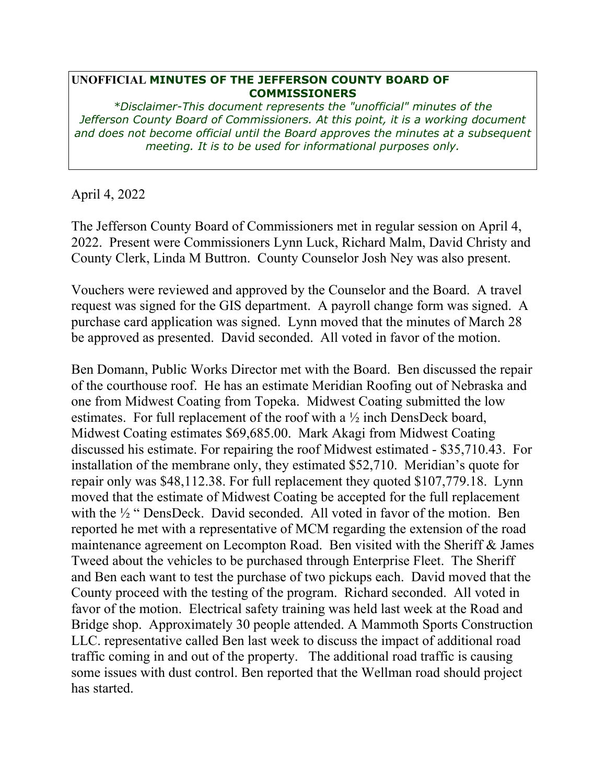## **UNOFFICIAL MINUTES OF THE JEFFERSON COUNTY BOARD OF COMMISSIONERS**

*\*Disclaimer-This document represents the "unofficial" minutes of the Jefferson County Board of Commissioners. At this point, it is a working document and does not become official until the Board approves the minutes at a subsequent meeting. It is to be used for informational purposes only.* 

April 4, 2022

The Jefferson County Board of Commissioners met in regular session on April 4, 2022. Present were Commissioners Lynn Luck, Richard Malm, David Christy and County Clerk, Linda M Buttron. County Counselor Josh Ney was also present.

Vouchers were reviewed and approved by the Counselor and the Board. A travel request was signed for the GIS department. A payroll change form was signed. A purchase card application was signed. Lynn moved that the minutes of March 28 be approved as presented. David seconded. All voted in favor of the motion.

Ben Domann, Public Works Director met with the Board. Ben discussed the repair of the courthouse roof. He has an estimate Meridian Roofing out of Nebraska and one from Midwest Coating from Topeka. Midwest Coating submitted the low estimates. For full replacement of the roof with a ½ inch DensDeck board, Midwest Coating estimates \$69,685.00. Mark Akagi from Midwest Coating discussed his estimate. For repairing the roof Midwest estimated - \$35,710.43. For installation of the membrane only, they estimated \$52,710. Meridian's quote for repair only was \$48,112.38. For full replacement they quoted \$107,779.18. Lynn moved that the estimate of Midwest Coating be accepted for the full replacement with the ½ " DensDeck. David seconded. All voted in favor of the motion. Ben reported he met with a representative of MCM regarding the extension of the road maintenance agreement on Lecompton Road. Ben visited with the Sheriff & James Tweed about the vehicles to be purchased through Enterprise Fleet. The Sheriff and Ben each want to test the purchase of two pickups each. David moved that the County proceed with the testing of the program. Richard seconded. All voted in favor of the motion. Electrical safety training was held last week at the Road and Bridge shop. Approximately 30 people attended. A Mammoth Sports Construction LLC. representative called Ben last week to discuss the impact of additional road traffic coming in and out of the property. The additional road traffic is causing some issues with dust control. Ben reported that the Wellman road should project has started.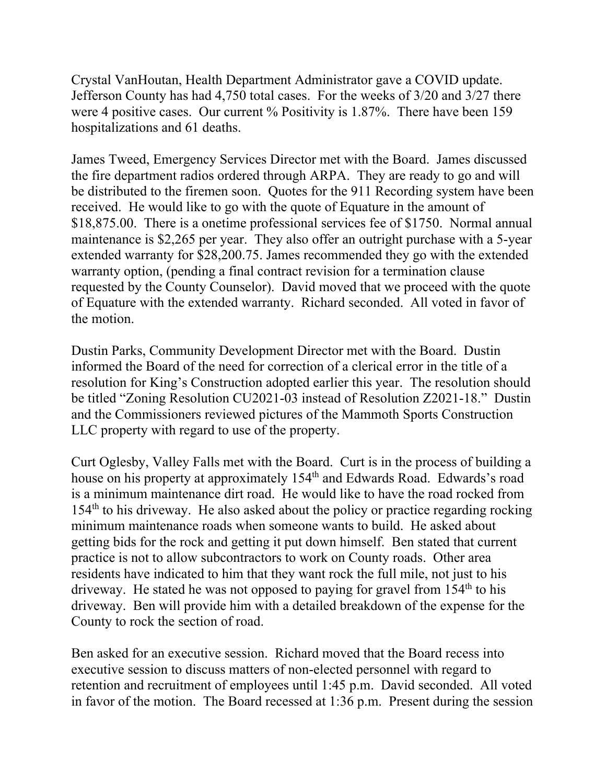Crystal VanHoutan, Health Department Administrator gave a COVID update. Jefferson County has had 4,750 total cases. For the weeks of 3/20 and 3/27 there were 4 positive cases. Our current % Positivity is 1.87%. There have been 159 hospitalizations and 61 deaths.

James Tweed, Emergency Services Director met with the Board. James discussed the fire department radios ordered through ARPA. They are ready to go and will be distributed to the firemen soon. Quotes for the 911 Recording system have been received. He would like to go with the quote of Equature in the amount of \$18,875.00. There is a onetime professional services fee of \$1750. Normal annual maintenance is \$2,265 per year. They also offer an outright purchase with a 5-year extended warranty for \$28,200.75. James recommended they go with the extended warranty option, (pending a final contract revision for a termination clause requested by the County Counselor). David moved that we proceed with the quote of Equature with the extended warranty. Richard seconded. All voted in favor of the motion.

Dustin Parks, Community Development Director met with the Board. Dustin informed the Board of the need for correction of a clerical error in the title of a resolution for King's Construction adopted earlier this year. The resolution should be titled "Zoning Resolution CU2021-03 instead of Resolution Z2021-18." Dustin and the Commissioners reviewed pictures of the Mammoth Sports Construction LLC property with regard to use of the property.

Curt Oglesby, Valley Falls met with the Board. Curt is in the process of building a house on his property at approximately 154<sup>th</sup> and Edwards Road. Edwards's road is a minimum maintenance dirt road. He would like to have the road rocked from 154th to his driveway. He also asked about the policy or practice regarding rocking minimum maintenance roads when someone wants to build. He asked about getting bids for the rock and getting it put down himself. Ben stated that current practice is not to allow subcontractors to work on County roads. Other area residents have indicated to him that they want rock the full mile, not just to his driveway. He stated he was not opposed to paying for gravel from  $154<sup>th</sup>$  to his driveway. Ben will provide him with a detailed breakdown of the expense for the County to rock the section of road.

Ben asked for an executive session. Richard moved that the Board recess into executive session to discuss matters of non-elected personnel with regard to retention and recruitment of employees until 1:45 p.m. David seconded. All voted in favor of the motion. The Board recessed at 1:36 p.m. Present during the session